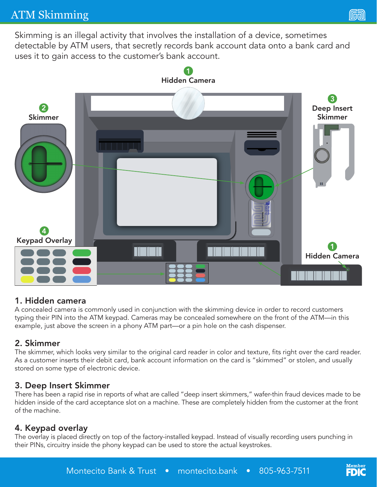# ATM Skimming

(lwy

Skimming is an illegal activity that involves the installation of a device, sometimes detectable by ATM users, that secretly records bank account data onto a bank card and uses it to gain access to the customer's bank account.



#### 1. Hidden camera

A concealed camera is commonly used in conjunction with the skimming device in order to record customers typing their PIN into the ATM keypad. Cameras may be concealed somewhere on the front of the ATM—in this example, just above the screen in a phony ATM part—or a pin hole on the cash dispenser.

#### 2. Skimmer

The skimmer, which looks very similar to the original card reader in color and texture, fits right over the card reader. As a customer inserts their debit card, bank account information on the card is "skimmed" or stolen, and usually stored on some type of electronic device.

#### 3. Deep Insert Skimmer

There has been a rapid rise in reports of what are called "deep insert skimmers," wafer-thin fraud devices made to be hidden inside of the card acceptance slot on a machine. These are completely hidden from the customer at the front of the machine.

#### 4. Keypad overlay

The overlay is placed directly on top of the factory-installed keypad. Instead of visually recording users punching in their PINs, circuitry inside the phony keypad can be used to store the actual keystrokes.